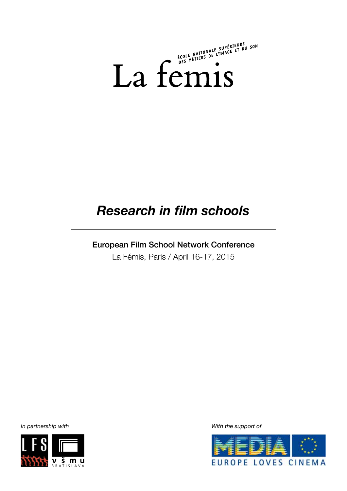

# *Research in film schools*

# European Film School Network Conference

La Fémis, Paris / April 16-17, 2015



*In partnership with With the support of*

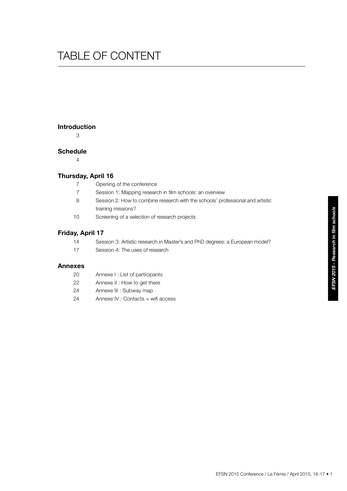# table of content

## **Introduction**

3

# **Schedule**

4

# **Thursday, April 16**

- 7 Opening of the conference
- 7 Session 1: Mapping research in film schools: an overview
- 8 Session 2: How to combine research with the schools' professional and artistic training missions?
- 10 Screening of a selection of research projects

# **Friday, April 17**

- 14 Session 3: Artistic research in Master's and PhD degrees: a European model?
- 17 Session 4: The uses of research

# **Annexes**

- 20 Annexe I : List of participants
- 22 Annexe II : How to get there
- 24 Annexe III : Subway map
- 24 Annexe IV : Contacts + wifi access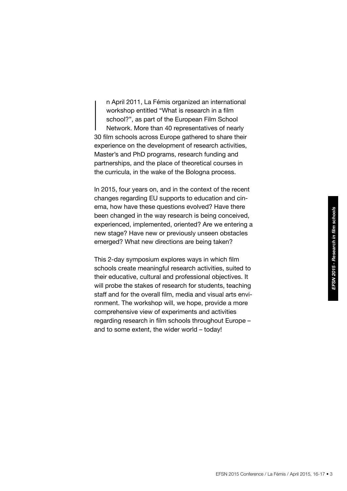n April 2011, La Fémis organized an international workshop entitled "What is research in a film school?", as part of the European Film School Network. More than 40 representatives of nearly 30 film schools across Europe gathered to share their experience on the development of research activities, Master's and PhD programs, research funding and partnerships, and the place of theoretical courses in the curricula, in the wake of the Bologna process.  $\begin{array}{c} \n\end{array}$ 

In 2015, four years on, and in the context of the recent changes regarding EU supports to education and cinema, how have these questions evolved? Have there been changed in the way research is being conceived, experienced, implemented, oriented? Are we entering a new stage? Have new or previously unseen obstacles emerged? What new directions are being taken?

This 2-day symposium explores ways in which film schools create meaningful research activities, suited to their educative, cultural and professional objectives. It will probe the stakes of research for students, teaching staff and for the overall film, media and visual arts environment. The workshop will, we hope, provide a more comprehensive view of experiments and activities regarding research in film schools throughout Europe – and to some extent, the wider world – today!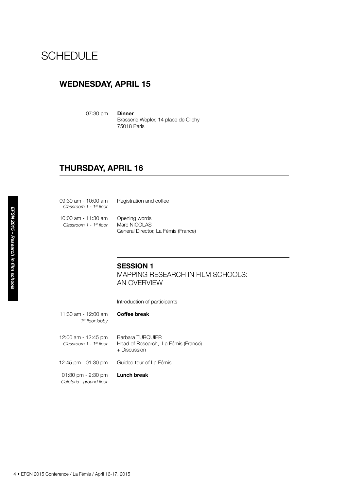# **SCHEDULE**

# **WEDNESDAY, APRIL 15**

07:30 pm **Dinner** 

Brasserie Wepler, 14 place de Clichy 75018 Paris

# **THURSDAY, APRIL 16**

|                                      | 09:30 am - 10:00 am<br>Classroom 1 - 1st floor          | Registration and coffee                                              |
|--------------------------------------|---------------------------------------------------------|----------------------------------------------------------------------|
| EFSN 2015 - Research in film schools | 10:00 am - 11:30 am<br>Classroom 1 - 1st floor          | Opening words<br>Marc NICOLAS<br>General Director, La Fémis (France) |
|                                      |                                                         | <b>SESSION 1</b><br><b>MAPPING RESEARCH IN</b><br>AN OVERVIEW        |
|                                      |                                                         | Introduction of participants                                         |
|                                      | 11:30 am - 12:00 am<br>1st floor lobby                  | <b>Coffee break</b>                                                  |
|                                      | 12:00 am - 12:45 pm<br>Classroom 1 - 1st floor          | Barbara TURQUIER<br>Head of Research, La Fémis (Fran<br>+ Discussion |
|                                      | 12:45 pm - 01:30 pm                                     | Guided tour of La Fémis                                              |
|                                      | 01:30 pm - 2:30 pm<br>Cafetaria - ground floor          | Lunch break                                                          |
|                                      |                                                         |                                                                      |
|                                      |                                                         |                                                                      |
|                                      |                                                         |                                                                      |
|                                      | 4 • EFSN 2015 Conference / La Fémis / April 16-17, 2015 |                                                                      |

# **SESSION 1**

Mapping research in film schools: **AN OVERVIEW** 

- 11:30 am 12:00 am **Coffee break** *1st floor lobby*
- 12:00 am 12:45 pm Barbara TURQUIER *Classroom 1 - 1st floor* Head of Research, La Fémis (France) + Discussion
- 12:45 pm 01:30 pm Guided tour of La Fémis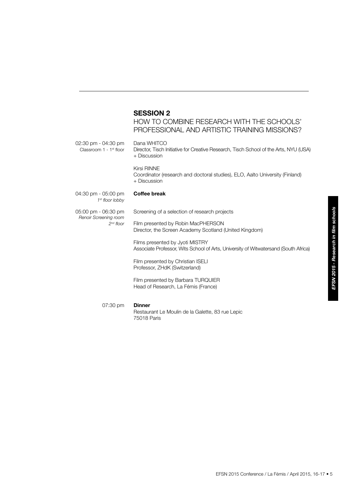# **SESSION 2**

75018 Paris

How to combine research with the schools' professional and artistic training missions?

| $02:30 \text{ pm} - 04:30 \text{ pm}$<br>Classroom $1 - 1$ <sup>st</sup> floor | Dana WHITCO<br>Director, Tisch Initiative for Creative Research, Tisch School of the Arts, NYU (USA)<br>+ Discussion   |
|--------------------------------------------------------------------------------|------------------------------------------------------------------------------------------------------------------------|
|                                                                                | Kirsi RINNF<br>Coordinator (research and doctoral studies), ELO, Aalto University (Finland)<br>+ Discussion            |
| $04:30$ pm - $05:00$ pm<br>1 <sup>st</sup> floor lobby                         | <b>Coffee break</b>                                                                                                    |
| 05:00 pm - 06:30 pm<br>Renoir Screening room                                   | Screening of a selection of research projects                                                                          |
| $2nd$ floor                                                                    | Film presented by Robin MacPHERSON<br>Director, the Screen Academy Scotland (United Kingdom)                           |
|                                                                                | Films presented by Jyoti MISTRY<br>Associate Professor, Wits School of Arts, University of Witwatersand (South Africa) |
|                                                                                | Film presented by Christian ISELI<br>Professor, ZHdK (Switzerland)                                                     |
|                                                                                | Film presented by Barbara TURQUIER<br>Head of Research, La Fémis (France)                                              |
| 07:30 pm                                                                       | <b>Dinner</b><br>Restaurant Le Moulin de la Galette, 83 rue Lepic                                                      |

EFSN 2015 Conference / La Fémis / April 2015, 16-17 • 5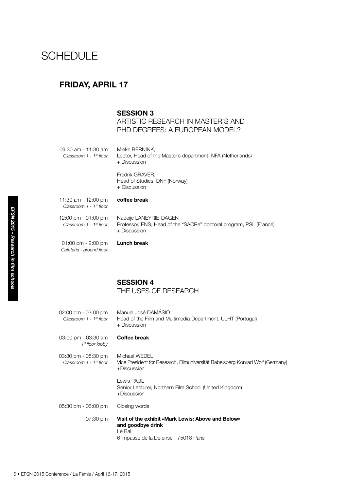# **SCHEDULE**

# **FRIDAY, APRIL 17**

# **SESSION 3**

**ARTISTIC RESEARCH IN MASTER'S AND** PHD DEGREES: A EUROPEAN MODEL?

|                                      | 09:30 am - 11:30 am<br>Classroom 1 - 1 <sup>st</sup> floor | Mieke BERNINK,<br>Lector, Head of the Master's department, NFA (Netherlands)<br>+ Discussion                               |
|--------------------------------------|------------------------------------------------------------|----------------------------------------------------------------------------------------------------------------------------|
|                                      |                                                            | Fredrik GRAVER,<br>Head of Studies, DNF (Norway)<br>+ Discussion                                                           |
|                                      | 11:30 am - 12:00 pm<br>Classroom 1 - 1 <sup>st</sup> floor | coffee break                                                                                                               |
|                                      | 12:00 pm - 01:00 pm<br>Classroom 1 - 1st floor             | Nadeije LANEYRIE-DAGEN<br>Professor, ENS, Head of the "SACRe" doctoral program, PSL (France)<br>+ Discussion               |
| EFSN 2015 - Research in film schools | 01:00 pm - 2:00 pm<br>Cafetaria - ground floor             | <b>Lunch break</b>                                                                                                         |
|                                      |                                                            | <b>SESSION 4</b><br>THE USES OF RESEARCH                                                                                   |
|                                      | 02:00 pm - 03:00 pm<br>Classroom 1 - 1 <sup>st</sup> floor | Manuel José DAMÁSIO<br>Head of the Film and Multimedia Department, ULHT (Portugal)<br>+ Discussion                         |
|                                      | 03:00 pm - 03:30 am<br>1 <sup>st</sup> floor lobby         | <b>Coffee break</b>                                                                                                        |
|                                      | 03:30 pm - 05:30 pm<br>Classroom 1 - 1 <sup>st</sup> floor | Michael WEDEL<br>Vice President for Research, Filmuniversität Babelsberg Konrad Wolf (Germany)<br>+Discussion              |
|                                      |                                                            | Lewis PAUL<br>Senior Lecturer, Northern Film School (United Kingdom)<br>+Discussion                                        |
|                                      | 05:30 pm - 06:00 pm                                        | Closing words                                                                                                              |
|                                      | 07:30 pm                                                   | Visit of the exhibit «Mark Lewis: Above and Below»<br>and goodbye drink<br>Le Bal<br>6 impasse de la Défense - 75018 Paris |
|                                      | 6 • EFSN 2015 Conference / La Fémis / April 16-17, 2015    |                                                                                                                            |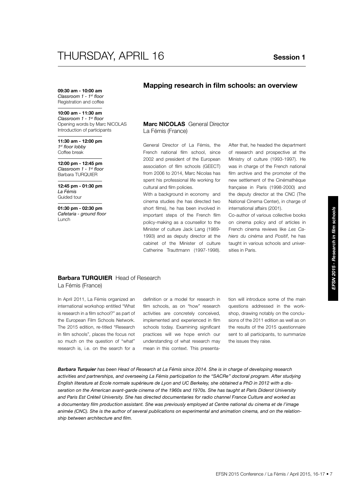# THURSDAY, APRIL 16 **Session 1**

**09:30 am - 10:00 am** *Classroom 1 - 1st floor* Registration and coffee

#### **10:00 am - 11:30 am**

*Classroom 1 - 1st floor* Opening words by Marc NICOLAS Introduction of participants

**11:30 am - 12:00 pm** *1st floor lobby* Coffee break

**12:00 pm - 12:45 pm** *Classroom 1 - 1st floor* Barbara TURQUIER

**12:45 pm - 01:30 pm** *La Fémis* Guided tour

**01:30 pm - 02:30 pm** *Cafetaria - ground floor* Lunch

## **Mapping research in film schools: an overview**

#### **Marc NICOLAS** General Director La Fémis (France)

General Director of La Fémis, the French national film school, since 2002 and president of the European association of film schools (GEECT) from 2006 to 2014, Marc Nicolas has spent his professional life working for cultural and film policies.

With a background in economy and cinema studies (he has directed two short films), he has been involved in important steps of the French film policy-making as a counsellor to the Minister of culture Jack Lang (1989- 1993) and as deputy director at the cabinet of the Minister of culture Catherine Trauttmann (1997-1998).

After that, he headed the department of research and prospective at the Ministry of culture (1993-1997). He was in charge of the French national film archive and the promoter of the new settlement of the Cinémathèque française in Paris (1998-2000) and the deputy director at the CNC (The National Cinema Center), in charge of international affairs (2001).

Co-author of various collective books on cinema policy and of articles in French cinema reviews like *Les Cahiers du cinéma* and *Positif*, he has taught in various schools and universities in Paris.

### **Barbara TURQUIER** Head of Research La Fémis (France)

In April 2011, La Fémis organized an international workshop entitled "What is research in a film school?" as part of the European Film Schools Network. The 2015 edition, re-titled "Research in film schools", places the focus not so much on the question of "what" research is, i.e. on the search for a

definition or a model for research in film schools, as on "how" research activities are concretely conceived, implemented and experienced in film schools today. Examining significant practices will we hope enrich our understanding of what research may mean in this context. This presenta-

tion will introduce some of the main questions addressed in the workshop, drawing notably on the conclusions of the 2011 edition as well as on the results of the 2015 questionnaire sent to all participants, to summarize the issues they raise.

*Barbara Turquier has been Head of Research at La Fémis since 2014. She is in charge of developing research activities and partnerships, and overseeing La Fémis participation to the "SACRe" doctoral program. After studying English literature at Ecole normale supérieure de Lyon and UC Berkeley, she obtained a PhD in 2012 with a disseration on the American avant-garde cinema of the 1960s and 1970s. She has taught at Paris Diderot University and Paris Est Créteil University. She has directed documentaries for radio channel France Culture and worked as a documentary film production assistant. She was previously employed at Centre national du cinema et de l'image animée (CNC). She is the author of several publications on experimental and animation cinema, and on the relationship between architecture and film.*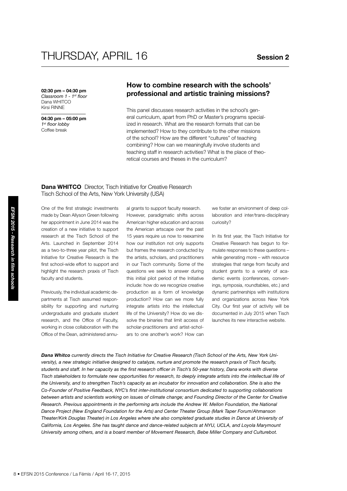# THURSDAY, APRIL 16 **Session 2**

**02:30 pm – 04:30 pm** *Classroom 1 - 1st floor* Dana WHITCO Kirsi RINNE

**04:30 pm – 05:00 pm** *1st floor lobby* Coffee break

# **How to combine research with the schools' professional and artistic training missions?**

This panel discusses research activities in the school's general curriculum, apart from PhD or Master's programs specialized in research. What are the research formats that can be implemented? How to they contribute to the other missions of the school? How are the different "cultures" of teaching combining? How can we meaningfully involve students and teaching staff in research activities? What is the place of theoretical courses and theses in the curriculum?

#### **Dana WHITCO** Director, Tisch Initiative for Creative Research Tisch School of the Arts, New York University (USA)

One of the first strategic investments made by Dean Allyson Green following her appointment in June 2014 was the creation of a new initiative to support research at the Tisch School of the Arts. Launched in September 2014 as a two-to-three year pilot, the Tisch Initiative for Creative Research is the first school-wide effort to support and highlight the research praxis of Tisch faculty and students.

Previously, the individual academic departments at Tisch assumed responsibility for supporting and nurturing undergraduate and graduate student research, and the Office of Faculty, working in close collaboration with the Office of the Dean, administered annual grants to support faculty research. However, paradigmatic shifts across American higher education and across the American artscape over the past 15 years require us now to reexamine how our institution not only supports but frames the research conducted by the artists, scholars, and practitioners in our Tisch community. Some of the questions we seek to answer during this initial pilot period of the Initiative include: how do we recognize creative production as a form of knowledge production? How can we more fully integrate artists into the intellectual life of the University? How do we dissolve the binaries that limit access of scholar-practitioners and artist-scholars to one another's work? How can

we foster an environment of deep collaboration and inter/trans-disciplinary curiosity?

In its first year, the Tisch Initiative for Creative Research has begun to formulate responses to these questions – while generating more – with resource strategies that range from faculty and student grants to a variety of academic events (conferences, convenings, symposia, roundtables, etc.) and dynamic partnerships with institutions and organizations across New York City. Our first year of activity will be documented in July 2015 when Tisch launches its new interactive website.

One of the lirst strategic investments<br>
The ande by Dean Allyson Green following<br>
the appointment in June 2014 was the<br>
creation of a new initiative to support<br>
the research at the Tisch School of the 18-18<br>
Arts. Launched *Dana Whitco currently directs the Tisch Initiative for Creative Research (Tisch School of the Arts, New York University), a new strategic initiative designed to catalyze, nurture and promote the research praxis of Tisch faculty, students and staff. In her capacity as the first research officer in Tisch's 50-year history, Dana works with diverse Tisch stakeholders to formulate new opportunities for research, to deeply integrate artists into the intellectual life of the University, and to strengthen Tisch's capacity as an incubator for innovation and collaboration. She is also the Co-Founder of Positive Feedback, NYC's first inter-institutional consortium dedicated to supporting collaborations between artists and scientists working on issues of climate change; and Founding Director of the Center for Creative Research. Previous appointments in the performing arts include the Andrew W. Mellon Foundation, the National Dance Project (New England Foundation for the Arts) and Center Theater Group (Mark Taper Forum/Ahmanson Theater/Kirk Douglas Theater) in Los Angeles where she also completed graduate studies in Dance at University of California, Los Angeles. She has taught dance and dance-related subjects at NYU, UCLA, and Loyola Marymount University among others, and is a board member of Movement Research, Bebe Miller Company and Culturebot.*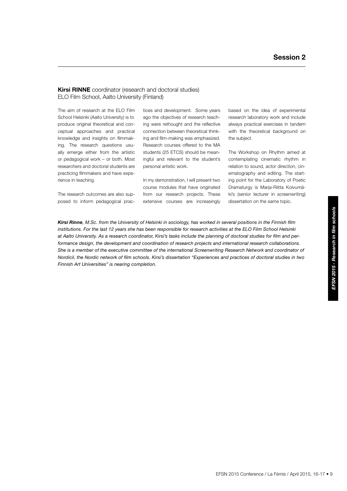### **Kirsi RINNE** coordinator (research and doctoral studies) ELO Film School, Aalto University (Finland)

The aim of research at the ELO Film School Helsinki (Aalto University) is to produce original theoretical and conceptual approaches and practical knowledge and insights on filmmaking. The research questions usually emerge either from the artistic or pedagogical work – or both. Most researchers and doctoral students are practicing filmmakers and have experience in teaching.

The research outcomes are also supposed to inform pedagogical practices and development. Some years ago the objectives of research teaching were rethought and the reflective connection between theoretical thinking and film-making was emphasized. Research courses offered to the MA students (25 ETCS) should be meaningful and relevant to the student's personal artistic work.

In my demonstration, I will present two course modules that have originated from our research projects. These extensive courses are increasingly

based on the idea of experimental research laboratory work and include always practical exercises in tandem with the theoretical background on the subject.

The Workshop on Rhythm aimed at contemplating cinematic rhythm in relation to sound, actor direction, cinematography and editing. The starting point for the Laboratory of Poetic Dramaturgy is Marja-Riitta Koivumäki's (senior lecturer in screenwriting) dissertation on the same topic.

*Kirsi Rinne, M.Sc. from the University of Helsinki in sociology, has worked in several positions in the Finnish film institutions. For the last 12 years she has been responsible for research activities at the ELO Film School Helsinki at Aalto University. As a research coordinator, Kirsi's tasks include the planning of doctoral studies for film and per*formance design, the development and coordination of research projects and international research collaborations. She is a member of the executive committee of the international Screenwriting Research Network and coordinator of *Nordicil, the Nordic network of film schools. Kirsi's dissertation "Experiences and practices of doctoral studies in two Finnish Art Universities" is nearing completion.*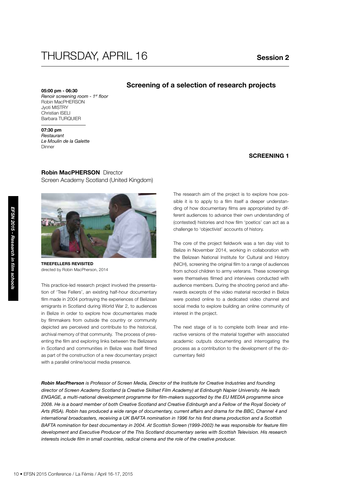# THURSDAY, APRIL 16 **Session 2**

## **Screening of a selection of research projects**

**05:00 pm - 06:30** *Renoir screening room - 1st floor* Robin MacPHERSON Jyoti MISTRY Christian ISELI Barbara TURQUIER

**07:30 pm** *Restaurant* 

*Le Moulin de la Galette* **Dinner** 

### **SCREENING 1**

### **Robin MacPHERSON** Director

Screen Academy Scotland (United Kingdom)



**TREEFELLERS REVISITED** directed by Robin MacPherson, 2014

19 • EFSN 2015 Conference / La Fémis / April 16-17, 2015<br>
10 • EFSN 2015 Conference / La Fémis / April 16-17, 2015<br>
10 • EFSN 2015 Conference / La Fémis / April 16-17, 2015<br>
10 • EFSN 2015 Conference *Research project inv* This practice-led research project involved the presentation of 'Tree Fellers', an existing half-hour documentary film made in 2004 portraying the experiences of Belizean emigrants in Scotland during World War 2, to audiences in Belize in order to explore how documentaries made by filmmakers from outside the country or community depicted are perceived and contribute to the historical, archival memory of that community. The process of presenting the film and exploring links between the Belizeans in Scotland and communities in Belize was itself filmed as part of the construction of a new documentary project with a parallel online/social media presence.

The research aim of the project is to explore how possible it is to apply to a film itself a deeper understanding of how documentary films are appropriated by different audiences to advance their own understanding of (contested) histories and how film 'poetics' can act as a challenge to 'objectivist' accounts of history.

The core of the project fieldwork was a ten day visit to Belize in November 2014, working in collaboration with the Belizean National Institute for Cultural and History (NICH), screening the original film to a range of audiences from school children to army veterans. These screenings were themselves filmed and interviews conducted with audience members. During the shooting period and afterwards excerpts of the video material recorded in Belize were posted online to a dedicated video channel and social media to explore building an online community of interest in the project.

The next stage of is to complete both linear and interactive versions of the material together with associated academic outputs documenting and interrogating the process as a contribution to the development of the documentary field

*Robin MacPherson is Professor of Screen Media, Director of the Institute for Creative Industries and founding director of Screen Academy Scotland (a Creative Skillset Film Academy) at Edinburgh Napier University. He leads ENGAGE, a multi-national development programme for film-makers supported by the EU MEDIA programme since 2008. He is a board member of both Creative Scotland and Creative Edinburgh and a Fellow of the Royal Society of Arts (RSA). Robin has produced a wide range of documentary, current affairs and drama for the BBC, Channel 4 and international broadcasters, receiving a UK BAFTA nomination in 1996 for his first drama production and a Scottish BAFTA nomination for best documentary in 2004. At Scottish Screen (1999-2002) he was responsible for feature film development and Executive Producer of the This Scotland documentary series with Scottish Television. His research interests include film in small countries, radical cinema and the role of the creative producer.*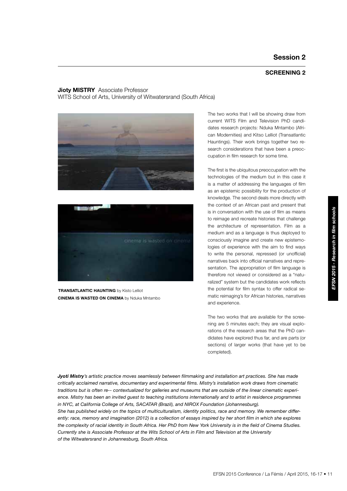### **SCREENING 2**

### **Jioty MISTRY** Associate Professor WITS School of Arts, University of Witwatersrand (South Africa)





**CINEMA IS WASTED ON CINEMA** by Nduka Mntambo **TRANSATLANTIC HAUNTING** by Kisto Lelliot

The two works that I will be showing draw from current WITS Film and Television PhD candidates research projects: Nduka Mntambo (African Modernities) and Kitso Lelliot (Transatlantic Hauntings). Their work brings together two research considerations that have been a preoccupation in film research for some time.

The first is the ubiquitous preoccupation with the technologies of the medium but in this case it is a matter of addressing the languages of film as an epistemic possibility for the production of knowledge. The second deals more directly with the context of an African past and present that is in conversation with the use of film as means to reimage and recreate histories that challenge the architecture of representation. Film as a medium and as a language is thus deployed to consciously imagine and create new epistemologies of experience with the aim to find ways to write the personal, repressed (or unofficial) narratives back into official narratives and representation. The appropriation of film language is therefore not viewed or considered as a "naturalized" system but the candidates work reflects the potential for film syntax to offer radical sematic reimaging's for African histories, narratives and experience.

The two works that are available for the screening are 5 minutes each; they are visual explorations of the research areas that the PhD candidates have explored thus far, and are parts (or sections) of larger works (that have yet to be completed).

*Jyoti Mistry's artistic practice moves seamlessly between filmmaking and installation art practices. She has made critically acclaimed narrative, documentary and experimental films. Mistry's installation work draws from cinematic traditions but is often re-‐ contextualized for galleries and museums that are outside of the linear cinematic experi*ence. Mistry has been an invited guest to teaching institutions internationally and to artist in residence programmes *in NYC, at California College of Arts, SACATAR (Brazil), and NIROX Foundation (Johannesburg).* 

*She has published widely on the topics of multiculturalism, identity politics, race and memory. We remember differ*ently: race, memory and imagination (2012) is a collection of essays inspired by her short film in which she explores *the complexity of racial identity in South Africa. Her PhD from New York University is in the field of Cinema Studies. Currently she is Associate Professor at the Wits School of Arts in Film and Television at the University of the Witwatersrand in Johannesburg, South Africa.*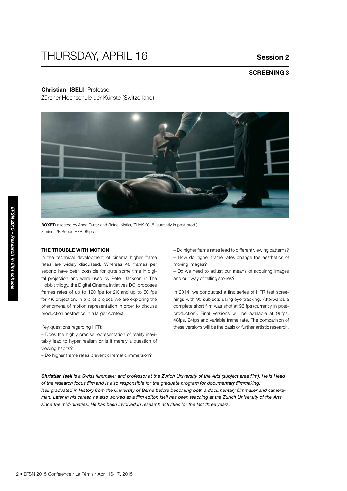# THURSDAY, APRIL 16

## **Session 2**

# **SCREENING 3**

#### **Christian ISELI** Professor

Zürcher Hochschule der Künste (Switzerland)



**BOXER** directed by Anna Furrer and Rafael Kistler, ZHdK 2015 (currently in post-prod.) 8 mins, 2K Scope HFR 96fps

#### **The trouble with motion**

12 • EFSN 2015 Conference / La Fémis *CHER 1981*<br>
12 • EFSN 2016 Conference / La Fémis / April 16-17, 2015<br>
12 • EFSN 2015 Conference / La Fémis / April 16-17, 2015<br>
12 • EFSN 2015 Conference / La Fémis / April 16-17, 201 In the technical development of cinema higher frame rates are widely discussed. Whereas 48 frames per second have been possible for quite some time in digital projection and were used by Peter Jackson in The Hobbit trilogy, the Digital Cinema Initiatives DCI proposes frames rates of up to 120 fps for 2K and up to 60 fps for 4K projection. In a pilot project, we are exploring the phenomena of motion representation in order to discuss production aesthetics in a larger context.

#### Key questions regarding HFR:

– Does the highly precise representation of reality inevitably lead to hyper realism or is it merely a question of viewing habits?

– Do higher frame rates prevent cinematic immersion?

– Do higher frame rates lead to different viewing patterns? – How do higher frame rates change the aesthetics of moving images?

– Do we need to adjust our means of acquiring images and our way of telling stories?

In 2014, we conducted a first series of HFR test screenings with 90 subjects using eye tracking. Afterwards a complete short film was shot at 96 fps (currently in postproduction). Final versions will be available at 96fps, 48fps, 24fps and variable frame rate. The comparison of these versions will be the basis or further artistic research.

*Christian Iseli is a Swiss filmmaker and professor at the Zurich University of the Arts (subject area film). He is Head of the research focus film and is also responsible for the graduate program for documentary filmmaking. Iseli graduated in History from the University of Berne before becoming both a documentary filmmaker and cameraman. Later in his career, he also worked as a film editor. Iseli has been teaching at the Zurich University of the Arts since the mid-nineties. He has been involved in research activities for the last three years.*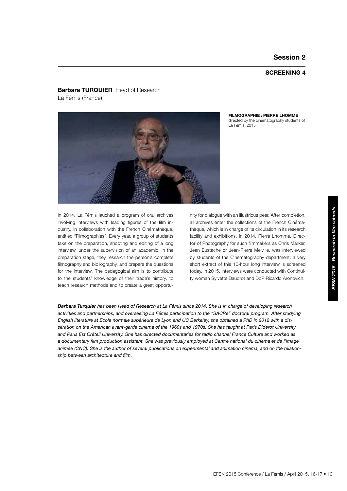### **SCREENING 4**

**FILMOGRAPHIE : PIERRE LHOMME** directed by the cinematography students of

La Fémis, 2015

### **Barbara TURQUIER** Head of Research La Fémis (France)



In 2014, La Fémis lauched a program of oral archives involving interviews with leading figures of the film industry, in collaboration with the French Cinémathèque, entitled "Filmographies". Every year, a group of students take on the preparation, shooting and editing of a long interview, under the supervision of an academic. In the preparation stage, they research the person's complete filmography and bibliography, and prepare the questions for the interview. The pedagogical aim is to contribute to the students' knowledge of their trade's history, to teach research methods and to create a great opportunity for dialogue with an illustrious peer. After completion, all archives enter the collections of the French Cinémathèque, which is in charge of its circulation in its research facility and exhibitions. In 2014, Pierre Lhomme, Director of Photography for such filmmakers as Chris Marker, Jean Eustache or Jean-Pierre Melville, was interviewed by students of the Cinematography department: a very short extract of this 10-hour long interview is screened today. In 2015, interviews were conducted with Continuity woman Sylvette Baudrot and DoP Ricardo Aronovich.

*Barbara Turquier has been Head of Research at La Fémis since 2014. She is in charge of developing research activities and partnerships, and overseeing La Fémis participation to the "SACRe" doctoral program. After studying English literature at Ecole normale supérieure de Lyon and UC Berkeley, she obtained a PhD in 2012 with a disseration on the American avant-garde cinema of the 1960s and 1970s. She has taught at Paris Diderot University and Paris Est Créteil University. She has directed documentaries for radio channel France Culture and worked as a documentary film production assistant. She was previously employed at Centre national du cinema et de l'image animée (CNC). She is the author of several publications on experimental and animation cinema, and on the relationship between architecture and film.*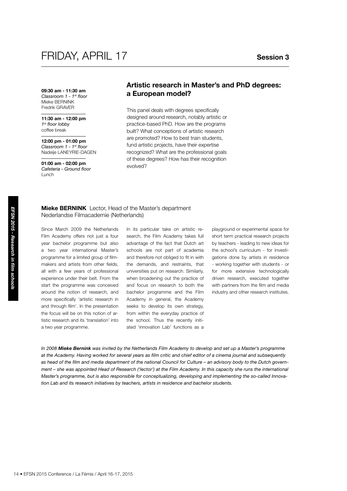**09:30 am - 11:30 am** *Classroom 1 - 1st floor* Mieke BERNINK Fredrik GRAVER

**11:30 am - 12:00 pm** *1st floor lobby* coffee break

**12:00 pm - 01:00 pm** *Classroom 1 - 1st floor* Nadeije LANEYRIE-DAGEN

**01:00 am - 02:00 pm** *Cafeteria - Ground floor* Lunch

# **Artistic research in Master's and PhD degrees: a European model?**

This panel deals with degrees specifically designed around research, notably artistic or practice-based PhD. How are the programs built? What conceptions of artistic research are promoted? How to best train students, fund artistic projects, have their expertise recognized? What are the professional goals of these degrees? How has their recognition evolved?

### **Mieke BERNINK** Lector, Head of the Master's department Nederlandse Filmacademie (Netherlands)

**Nieke BERNINK** Lector, Head of the Nederlandse Filmacademie (Netherlands) in Film Academy offers not just a four seed a two year international Master's sof programme for a limited group of film-<br>makers and attical propert Since March 2009 the Netherlands Film Academy offers not just a four year bachelor programme but also a two year international Master's programme for a limited group of filmmakers and artists from other fields, all with a few years of professional experience under their belt. From the start the programme was conceived around the notion of research, and more specifically 'artistic research in and through film'. In the presentation the focus will be on this notion of artistic research and its 'translation' into a two year programme.

In its particular take on artistic research, the Film Academy takes full advantage of the fact that Dutch art schools are not part of academia and therefore not obliged to fit in with the demands, and restraints, that universities put on research. Similarly, when broadening out the practice of and focus on research to both the bachelor programme and the Film Academy in general, the Academy seeks to develop its own strategy, from within the everyday practice of the school. Thus the recently initiated 'innovation Lab' functions as a

playground or experimental space for short term practical research projects by teachers - leading to new ideas for the school's curriculum - for investigations done by artists in residence - working together with students - or for more extensive technologically driven research, executed together with partners from the film and media industry and other research institutes.

*In 2008 Mieke Bernink was invited by the Netherlands Film Academy to develop and set up a Master's programme at the Academy. Having worked for several years as film critic and chief editor of a cinema journal and subsequently as head of the film and media department of the national Council for Culture – an advisory body to the Dutch government – she was appointed Head of Research ('lector') at the Film Academy. In this capacity she runs the international Master's programme, but is also responsible for conceptualizing, developing and implementing the so-called Innovation Lab and its research initiatives by teachers, artists in residence and bachelor students.*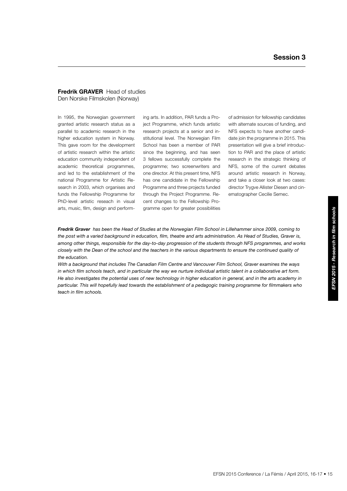#### **Fredrik GRAVER** Head of studies Den Norske Filmskolen (Norway)

In 1995, the Norwegian government granted artistic research status as a parallel to academic research in the higher education system in Norway. This gave room for the development of artistic research within the artistic education community independent of academic theoretical programmes, and led to the establishment of the national Programme for Artistic Research in 2003, which organises and funds the Fellowship Programme for PhD-level artistic reseach in visual arts, music, film, design and perform-

ing arts. In addition, PAR funds a Project Programme, which funds artistic research projects at a senior and institutional level. The Norwegian Film School has been a member of PAR since the beginning, and has seen 3 fellows successfully complete the programme; two screenwriters and one director. At this present time, NFS has one candidate in the Fellowship Programme and three projects funded through the Project Programme. Recent changes to the Fellowship Programme open for greater possibilities

of admission for fellowship candidates with alternate sources of funding, and NFS expects to have another candidate join the programme in 2015. This presentation will give a brief introduction to PAR and the place of artistic research in the strategic thinking of NFS, some of the current debates around artistic research in Norway, and take a closer look at two cases: director Trygve Allister Diesen and cinematographer Cecilie Semec.

*Fredrik Graver has been the Head of Studies at the Norwegian Film School in Lillehammer since 2009, coming to the post with a varied background in education, film, theatre and arts administration. As Head of Studies, Graver is, among other things, responsible for the day-to-day progression of the students through NFS programmes, and works closely with the Dean of the school and the teachers in the various departments to ensure the continued quality of the education.* 

*With a background that includes The Canadian Film Centre and Vancouver Film School, Graver examines the ways in which film schools teach, and in particular the way we nurture individual artistic talent in a collaborative art form. He also investigates the potential uses of new technology in higher education in general, and in the arts academy in particular. This will hopefully lead towards the establishment of a pedagogic training programme for filmmakers who teach in film schools.*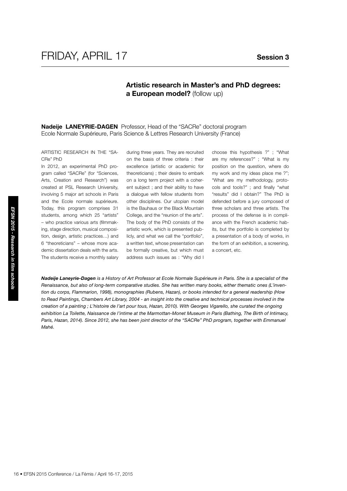# **Artistic research in Master's and PhD degrees: a European model?** (follow up)

**Nadeije LANEYRIE-DAGEN** Professor, Head of the "SACRe" doctoral program Ecole Normale Supérieure, Paris Science & Lettres Research University (France)

Artistic Research in the "SA-CRe" PhD

In 2012, an experimental PhD program called "SACRe" (for "Sciences, Arts, Creation and Research") was created at PSL Research University, involving 5 major art schools in Paris and the Ecole normale supérieure. Today, this program comprises 31 students, among which 25 "artists" – who practice various arts (filmmaking, stage direction, musical composition, design, artistic practices…) and 6 "theoreticians" – whose more academic dissertation deals with the arts. The students receive a monthly salary during three years. They are recruited on the basis of three criteria : their excellence (artistic or academic for theoreticians) ; their desire to embark on a long term project with a coherent subject ; and their ability to have a dialogue with fellow students from other disciplines. Our utopian model is the Bauhaus or the Black Mountain College, and the "reunion of the arts". The body of the PhD consists of the artistic work, which is presented publicly, and what we call the "portfolio", a written text, whose presentation can be formally creative, but which must address such issues as : "Why did I choose this hypothesis ?" ; "What are my references?" ; "What is my position on the question, where do my work and my ideas place me ?"; "What are my methodology, protocols and tools?" ; and finally "what "results" did I obtain?" The PhD is defended before a jury composed of three scholars and three artists. The process of the defense is in compliance with the French academic habits, but the portfolio is completed by a presentation of a body of works, in the form of an exhibition, a screening, a concert, etc.

16 **examples and the conference of the students**, among which 25 "artists" Conference and time ing, stage direction, musical compositions... In line's particular time, design, artistic practices...) and line's the demic d *Nadeije Laneyrie-Dagen is a History of Art Professor at Ecole Normale Supérieure in Paris. She is a specialist of the Renaissance, but also of long-term comparative studies. She has written many books, either thematic ones (L'invention du corps, Flammarion, 1998), monographies (Rubens, Hazan), or books intended for a general readership (How*  to Read Paintings, Chambers Art Library, 2004 - an insight into the creative and technical processes involved in the *creation of a painting ; L'histoire de l'art pour tous, Hazan, 2010). With Georges Vigarello, she curated the ongoing exhibition La Toilette, Naissance de l'intime at the Marmottan-Monet Museum in Paris (Bathing, The Birth of Intimacy,*  Paris, Hazan, 2014). Since 2012, she has been joint director of the "SACRe" PhD program, together with Emmanuel *Mahé.*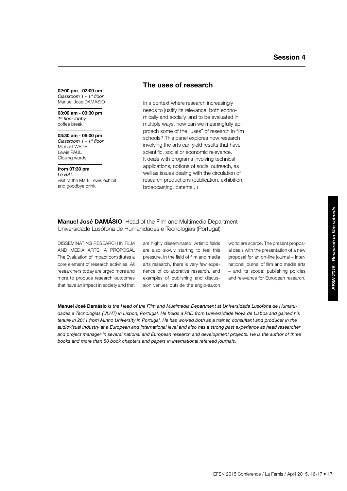**02:00 pm - 03:00 am** *Classroom 1 - 1st floor* Manuel José DAMáSIO

**03:00 am - 03:30 pm** *1st floor lobby* coffee break

#### **03:30 am - 06:00 pm** *Classroom 1 - 1st floor* Michael WEDEL Lewis PAUL Closing words

# **from 07:30 pm**

*Le BAL* visit of the Mark Lewis exhibit and goodbye drink

# **The uses of research**

In a context where research increasingly needs to justify its relevance, both economically and socially, and to be evaluated in multiple ways, how can we meaningfully approach some of the "uses" of research in film schools? This panel explores how research involving the arts can yield results that have scientific, social or economic relevance. It deals with programs involving technical applications, notions of social outreach, as well as issues dealing with the circulation of research productions (publication, exhibition, broadcasting, patents...)

### **Manuel José Damásio** Head of the Film and Multimedia Department Universidade Lusófona de Humanidades e Tecnologias (Portugal)

DISSEMINATING RESEARCH IN FILM and media arts: a proposal The Evaluation of impact constitutes a core element of research activities. All researchers today are urged more and more to produce research outcomes that have an impact in society and that

are highly disseminated. Artistic fields are also slowly starting to feel this pressure. In the field of film and media arts research, there is very few experience of collaborative research, and examples of publishing and discussion venues outside the anglo-saxon

world are scarce. The present proposal deals with the presentation of a new proposal for an on-line journal – international journal of film and media arts – and its scope; publishing policies and relevance for European research.

**Manuel José Damásio** *is the Head of the Film and Multimedia Department at Universidade Lusófona de Humanidades e Tecnologias (ULHT) in Lisbon, Portugal. He holds a PhD from Universidade Nova de Lisboa and gained his tenure in 2011 from Minho University in Portugal. He has worked both as a trainer, consultant and producer in the audiovisual industry at a European and international level and also has a strong past experience as head researcher and project manager in several national and European research and development projects. He is the author of three books and more than 50 book chapters and papers in international refereed journals.*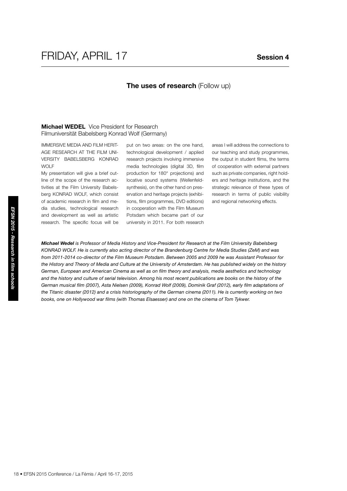### **The uses of research (Follow up)**

### **Michael WEDEL** Vice President for Research Filmuniversität Babelsberg Konrad Wolf (Germany)

Immersive Media and Film Heritage Research at the Film University Babelsberg KONRAD WOLF

My presentation will give a brief outline of the scope of the research activities at the Film University Babelsberg KONRAD WOLF, which consist of academic research in film and media studies, technological research and development as well as artistic research. The specific focus will be

put on two areas: on the one hand, technological development / applied research projects involving immersive media technologies (digital 3D, film production for 180° projections) and locative sound systems (Wellenfeldsynthesis), on the other hand on preservation and heritage projects (exhibitions, film programmes, DVD editions) in cooperation with the Film Museum Potsdam which became part of our university in 2011. For both research

areas I will address the connections to our teaching and study programmes, the output in student films, the terms of cooperation with external partners such as private companies, right holders and heritage institutions, and the strategic relevance of these types of research in terms of public visibility and regional networking effects.

dia studies, technological research in evel as artistic<br>
and development as well as artistic Port<br>
research. The specific focus will be<br> **Michael Wedel is Professor of Media Histo**<br> **Michael Wedel is Professor of Media Hi** *Michael Wedel is Professor of Media History and Vice-President for Research at the Film University Babelsberg KONRAD WOLF. He is currently also acting director of the Brandenburg Centre for Media Studies (ZeM) and was from 2011-2014 co-director of the Film Museum Potsdam. Between 2005 and 2009 he was Assistant Professor for*  the History and Theory of Media and Culture at the University of Amsterdam. He has published widely on the history *German, European and American Cinema as well as on film theory and analysis, media aesthetics and technology*  and the history and culture of serial television. Among his most recent publications are books on the history of the *German musical film (2007), Asta Nielsen (2009), Konrad Wolf (2009), Dominik Graf (2012), early film adaptations of the Titanic disaster (2012) and a crisis historiography of the German cinema (2011). He is currently working on two books, one on Hollywood war films (with Thomas Elsaesser) and one on the cinema of Tom Tykwer.*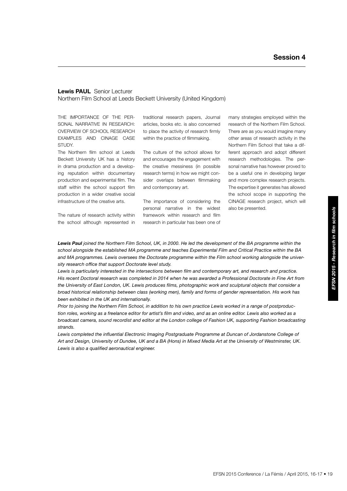#### **Lewis PAUL** Senior Lecturer Northern Film School at Leeds Beckett University (United Kingdom)

The importance of the personal narrative in research: Overview of school research examples and CINAGE case study.

The Northern film school at Leeds Beckett University UK has a history in drama production and a developing reputation within documentary production and experimental film. The staff within the school support film production in a wider creative social infrastructure of the creative arts.

The nature of research activity within the school although represented in traditional research papers, Journal articles, books etc. is also concerned to place the activity of research firmly within the practice of filmmaking.

The culture of the school allows for and encourages the engagement with the creative messiness (in possible research terms) in how we might consider overlaps between filmmaking and contemporary art.

The importance of considering the personal narrative in the widest framework within research and film research in particular has been one of

many strategies employed within the research of the Northern Film School. There are as you would imagine many other areas of research activity in the Northern Film School that take a different approach and adopt different research methodologies. The personal narrative has however proved to be a useful one in developing larger and more complex research projects. The expertise it generates has allowed the school scope in supporting the CINAGE research project, which will also be presented.

Lewis Paul joined the Northern Film School, UK, in 2000. He led the development of the BA programme within the *school alongside the established MA programme and teaches Experimental Film and Critical Practice within the BA and MA programmes. Lewis oversees the Doctorate programme within the Film school working alongside the university research office that support Doctorate level study.*

*Lewis is particularly interested in the intersections between film and contemporary art, and research and practice. His recent Doctoral research was completed in 2014 when he was awarded a Professional Doctorate in Fine Art from the University of East London, UK. Lewis produces films, photographic work and sculptural objects that consider a broad historical relationship between class (working men), family and forms of gender representation. His work has been exhibited in the UK and internationally.* 

*Prior to joining the Northern Film School, in addition to his own practice Lewis worked in a range of postproduction roles, working as a freelance editor for artist's film and video, and as an online editor. Lewis also worked as a broadcast camera, sound recordist and editor at the London college of Fashion UK, supporting Fashion broadcasting strands.*

Lewis completed the influential Electronic Imaging Postgraduate Programme at Duncan of Jordanstone College of *Art and Design, University of Dundee, UK and a BA (Hons) in Mixed Media Art at the University of Westminster, UK. Lewis is also a qualified aeronautical engineer.*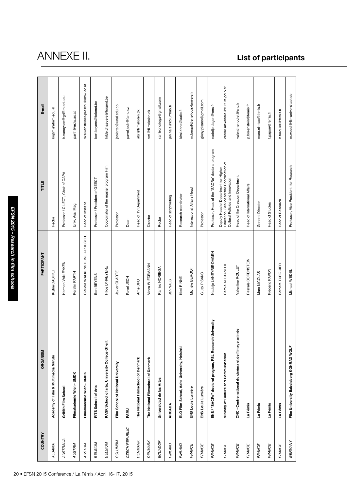| 20 · EFSN 2015 Conference / La Fémis / April 16-17, 2015 |                                                         | EFSN 2015 - Research in film schools |                                                                                                                        |                                  |
|----------------------------------------------------------|---------------------------------------------------------|--------------------------------------|------------------------------------------------------------------------------------------------------------------------|----------------------------------|
| <b>COUNTRY</b>                                           | ORGANISM                                                | <b>PARTICIPANT</b>                   | TITLE                                                                                                                  | E-mail                           |
| <b>ALBANIA</b>                                           | Academy of Film & Multimedia Marubi                     | Kujtim CASHKU                        | Rector                                                                                                                 | kujtim@afmm.edu.al               |
| <b>AUSTRALIA</b>                                         | Griffith Film School                                    | Herman VAN EYKEN                     | Professor / CILECT, Chair of CAPA                                                                                      | h.vaneyken@griffith.edu.au       |
| AUSTRIA                                                  | Filmakademie Wien - UMDK                                | Kerstin PARTH                        | Univ. Ass. Mag.                                                                                                        | parth@mdw.ac.at                  |
| <b>AUSTRIA</b>                                           | Filmakademie Wien - UMDK                                | Claudia WALKENSTEINER-PRESCHL        | Head of Institute                                                                                                      | Walkensteiner-preschl@mdw.ac.at  |
| <b>BELGIUM</b>                                           | RITS School of Arts                                     | Bert BEYENS                          | Professor / President of GEECT                                                                                         | bert.beyens@telenet.be           |
| <b>BELGIUM</b>                                           | KASK School of arts, University College Ghent           | Hilde D'HAEYERE                      | Coordinator of the master program Film                                                                                 | hilde.dhaeyere@hogent.be         |
| <b>COLUMBIA</b>                                          | Film School of National University                      | Javier OLARTE                        | Professor                                                                                                              | jsolartet@unal.edu.co            |
| CZECH REPUBLIC                                           | FAMU                                                    | Pavel JECH                           | Dean                                                                                                                   | pavel.jech@famu.cz               |
| <b>DENMARK</b>                                           | The National Filmschool of Denmark                      | Arne BRO                             | Head of TV Department                                                                                                  | abr@filmskolen.dk                |
| <b>DENMARK</b>                                           | The National Filmschool of Denmark                      | Vinca WIEDEMANN                      | Director                                                                                                               | vwi@filmskolen.dk                |
| ECUADOR                                                  | Universidad de las Artes                                | Ramiro NORIEGA                       | Rector                                                                                                                 | ramironoriega@gmail.com          |
| FINLAND                                                  | ARCADA                                                  | Jan NALS                             | Head of scriptwriting                                                                                                  | jan.nals@kolumbus.fi             |
| FINLAND                                                  | ELO Film School, Aalto University, Helsinki             | Kirsi RINNE                          | Research coordinator                                                                                                   | kirsi.rinne@aalto.fi             |
| <b>FRANCE</b>                                            | ENS Louis Lumière                                       | Michèle BERGOT                       | International Affairs Head                                                                                             | m.bergot@ens-louis-lumiere.fr    |
| <b>FRANCE</b>                                            | ENS Louis Lumière                                       | Giusy PISANO                         | Professor                                                                                                              | giusy.pisano@gmail.com           |
| <b>FRANCE</b>                                            | ENS / "SACRe" doctoral program, PSL Research University | Nadeije LANEYRIE-DAGEN               | Professor, Head of the "SACRe" doctoral program                                                                        | nadeije.dagen@ens.fr             |
| <b>FRANCE</b>                                            | Ministry of Culture and Communication                   | Carole ALEXANDRE                     | Deputy Head of Department for Higher<br>Education, Service for the Coordination of<br>Cultural Policies and Innovation | carole.alexandre@culture.gouv.fr |
| FRANCE                                                   | CNC - Centre national du cinéma et de l'image animée    | Valentine ROULET                     | Head of the Creation Department                                                                                        | valentine.roulet@cnc.fr          |
| <b>FRANCE</b>                                            | La Fémis                                                | Pascale BORENSTEIN                   | Head of International Affairs                                                                                          | p.borenstein@femis.fr            |
| <b>FRANCE</b>                                            | La Fémis                                                | Marc NICOLAS                         | General Director                                                                                                       | marc.nicolas@femis.fr            |
| <b>FRANCE</b>                                            | La Fémis                                                | Frédéric PAPON                       | Head of Studies                                                                                                        | f.papon@femis.fr                 |
| <b>FRANCE</b>                                            | La Fémis                                                | Barbara TURQUIER                     | Head of Research                                                                                                       | b.turquier@femis.fr              |
| GERMANY                                                  | Film University Babelsberg KONRAD WOLF                  | Michael WEDEL                        | Professor, Vice President for Research                                                                                 | m.wedel@filmuniversitaet.de      |

# anne x

# **List of participants**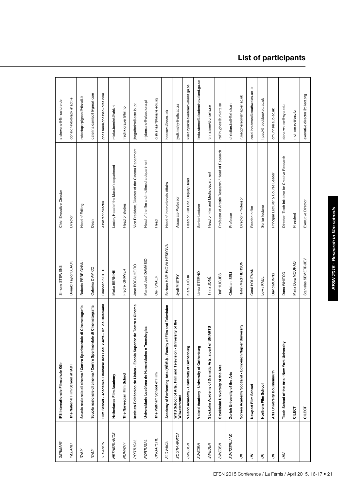| ī             |
|---------------|
|               |
|               |
|               |
|               |
|               |
|               |
|               |
|               |
| l<br>ŀ        |
|               |
|               |
|               |
|               |
|               |
| ı             |
| d             |
| j             |
| l             |
| ſ             |
| I<br>֡֡֡֡֡֡֡֡ |
| Į<br>ı<br>ׇ֠  |
|               |
| ſ             |
|               |
|               |
|               |
|               |
| ì             |
| ı             |

| GERMANY            | IFS Internationale Filmschule Köln                                            | Simone STEWENS           | Chief Executive Director                          | s.stewens@filmschule.de            |
|--------------------|-------------------------------------------------------------------------------|--------------------------|---------------------------------------------------|------------------------------------|
| <b>RELAND</b>      | The National Film School at IADT                                              | Donald Taylor BLACK      | Director                                          | donald.taylorblack@iadt.ie         |
| <b>TALY</b>        | Scuola nazionale di cinema / Centro Sperimentale di Cinematografia            | Roberto PERPIGNANI       | <b>Head of Editing</b>                            | robertoperpignani@tiscali.it       |
| <b>TALY</b>        | Scuola nazionale di cinema / Centro Sperimentale di Cinematografia            | Caterina D'AMICO         | Dean                                              | caterina.damico8@gmail.com         |
| LEBANON            | Un. de Balamand<br>Film School - Academie Libanaise des Beaux-Arts            | Ghassan KOTEIT           | Assistant director                                | ghassan@ghassankoteit.com          |
| <b>NETHERLANDS</b> | Netherlands Film Academy                                                      | Mieke BERNINK            | Lector, Head of the Master's department           | mieke.bernink@ahk.nl               |
| <b>NORWAY</b>      | The Norwegian Film School                                                     | Fredrik GRAVER           | Head of studies                                   | fredrik.graver@hil.no              |
| PORTUGAL           | Instituto Politécnico de Lisboa - Escola Superior de Teatro e Cinema          | José BOGALHEIRO          | Vice President, Director of the Cinema Department | jbogalheiro@estc.ipl.pt            |
| PORTUGAL           | Universidade Lusófona de Humanidades e Tecnologias                            | Manuel José DAMÁSIO      | Head of the film and multimedia department        | mjdamasio@ulusofona.pt             |
| <b>SINGAPORE</b>   | The Puttnam School of Film                                                    | Gisli SNAER              | Head                                              | gisli.snaer@lasalle.edu.sg         |
| <b>SLOVAKIA</b>    | Academy of Performing Arts (VSMU) - Faculty of Film and Television            | Barbara HARUMOVÁ HESSOVÁ | Head of Internationals Affairs                    | hessova@vsmu.sk                    |
| SOUTH AFRICA       | WITS School of Arts: Film and Television - University of the<br>Witwatersrand | Jyoti MISTRY             | Associate Professor                               | jyoti.mistry@wits.ac.za            |
| SWEDEN             | Valand Academy - University of Gothenburg                                     | Klara BJÖRK              | Head of Film Unit, Deputy Head                    | klara.bjork@akademinvaland.gu.se   |
| SWEDEN             | Valand Academy - University of Gothenburg                                     | Linda STERNÖ             | Senior Lecturer                                   | linda.sterno@akademinavaland.gu.se |
| SWEDEN             | Stockolm Academy of Dramatic Arts, a part of UNIARTS                          | Tinna JONÉ               | Head of Film and Media department                 | tinna.jone@uniarts.se              |
| SWEDEN             | Stockholm University of the Arts                                              | Rolf HUGUES              | Professor of Artistic Research / Head of Research | rolf.hughes@uniarts.se             |
| <b>SWITZERLAND</b> | Zurich University of the Arts                                                 | Christian ISELI          | Professor                                         | christian.iseli@zhdk.ch            |
| У                  | Screen Academy Scotland - Edinburgh Napier University                         | Robin MacPHERSON         | Director - Professor                              | r.macpherson@napier.ac.uk          |
| $\gtrsim$          | Newport Film School                                                           | Coral HOUTMAN            | Reader in film                                    | coral.houtman@southwales.ac.uk     |
| Ж                  | Northern Film School                                                          | Lewis PAUL               | Senior lecturer                                   | l.paul@leedsbeckett.ac.uk          |
| Ж                  | Arts University Bournemouth                                                   | David MUNNS              | Principal Lecturer & Course Leader                | dmunns@aub.ac.uk                   |
| USA                | Tisch School of the Arts - New York University                                | Dana WHITCO              | Director, Tisch Initiative for Creative Research  | dana.whitco@nyu.edu                |
|                    | CILECT                                                                        | Maria Dora MOURAO        | President                                         | mdmourao@usp.br                    |
|                    | CILECT                                                                        | Stanislas SEMERDJIEV     | Executive Director                                | executive.director@cilect.org      |

# **List of participants**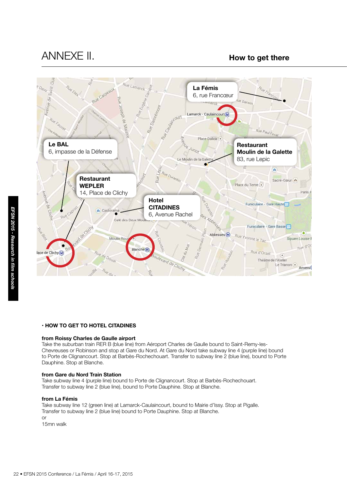# annexe II. **How to get there**



### **• How to get hotel Citadines**

#### **from Roissy Charles de Gaulle airport**

Take the suburban train RER B (blue line) from Aéroport Charles de Gaulle bound to Saint-Remy-les-Chevreuses or Robinson and stop at Gare du Nord. At Gare du Nord take subway line 4 (purple line) bound to Porte de Clignancourt. Stop at Barbès-Rochechouart. Transfer to subway line 2 (blue line), bound to Porte Dauphine. Stop at Blanche.

#### **from Gare du Nord Train Station**

Take subway line 4 (purple line) bound to Porte de Clignancourt. Stop at Barbès-Rochechouart. Transfer to subway line 2 (blue line), bound to Porte Dauphine. Stop at Blanche.

#### **from La Fémis**

Take subway line 12 (green line) at Lamarck-Caulaincourt, bound to Mairie d'Issy. Stop at Pigalle. Transfer to subway line 2 (blue line) bound to Porte Dauphine. Stop at Blanche. or

15mn walk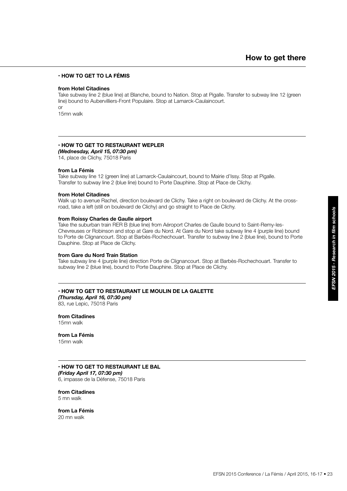### **• How to get La Fémis**

#### **from Hotel Citadines**

Take subway line 2 (blue line) at Blanche, bound to Nation. Stop at Pigalle. Transfer to subway line 12 (green line) bound to Aubervilliers-Front Populaire. Stop at Lamarck-Caulaincourt. or

15mn walk

### **• How to get restaurant WEPLER**

*(Wednesday, April 15, 07:30 pm)*

14, place de Clichy, 75018 Paris

#### **from La Fémis**

Take subway line 12 (green line) at Lamarck-Caulaincourt, bound to Mairie d'Issy. Stop at Pigalle. Transfer to subway line 2 (blue line) bound to Porte Dauphine. Stop at Place de Clichy.

#### **from Hotel Citadines**

Walk up to avenue Rachel, direction boulevard de Clichy. Take a right on boulevard de Clichy. At the crossroad, take a left (still on boulevard de Clichy) and go straight to Place de Clichy.

#### **from Roissy Charles de Gaulle airport**

Take the suburban train RER B (blue line) from Aéroport Charles de Gaulle bound to Saint-Remy-les-Chevreuses or Robinson and stop at Gare du Nord. At Gare du Nord take subway line 4 (purple line) bound to Porte de Clignancourt. Stop at Barbès-Rochechouart. Transfer to subway line 2 (blue line), bound to Porte Dauphine. Stop at Place de Clichy.

#### **from Gare du Nord Train Station**

Take subway line 4 (purple line) direction Porte de Clignancourt. Stop at Barbès-Rochechouart. Transfer to subway line 2 (blue line), bound to Porte Dauphine. Stop at Place de Clichy.

### **• How to get restaurant LE MOULIN DE LA GALETTE**

*(Thursday, April 16, 07:30 pm)* 83, rue Lepic, 75018 Paris

**from Citadines** 15mn walk

**from La Fémis** 15mn walk

#### **• How to get restaurant LE BAL** *(Friday April 17, 07:30 pm)*

6, impasse de la Défense, 75018 Paris

**from Citadines** 5 mn walk

**from La Fémis** 20 mn walk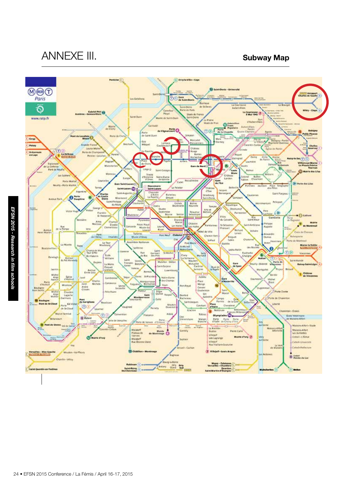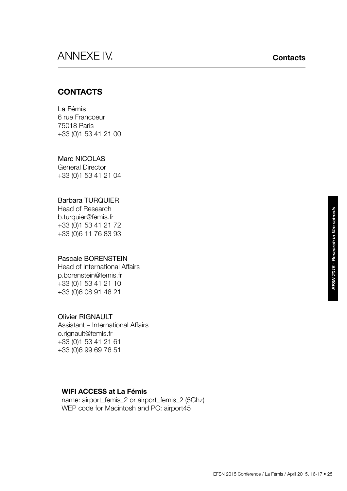# annexe IV. **Contacts**

# **CONTACTS**

# La Fémis

6 rue Francoeur 75018 Paris +33 (0)1 53 41 21 00

# Marc NICOLAS

General Director +33 (0)1 53 41 21 04

# Barbara TURQUIER

Head of Research b.turquier@femis.fr +33 (0)1 53 41 21 72 +33 (0)6 11 76 83 93

# Pascale BORENSTEIN

Head of International Affairs p.borenstein@femis.fr +33 (0)1 53 41 21 10 +33 (0)6 08 91 46 21

# Olivier RIGNAULT

Assistant – International Affairs o.rignault@femis.fr +33 (0)1 53 41 21 61 +33 (0)6 99 69 76 51

# **WIFI ACCESS at La Fémis**

 name: airport\_femis\_2 or airport\_femis\_2 (5Ghz) WEP code for Macintosh and PC: airport45